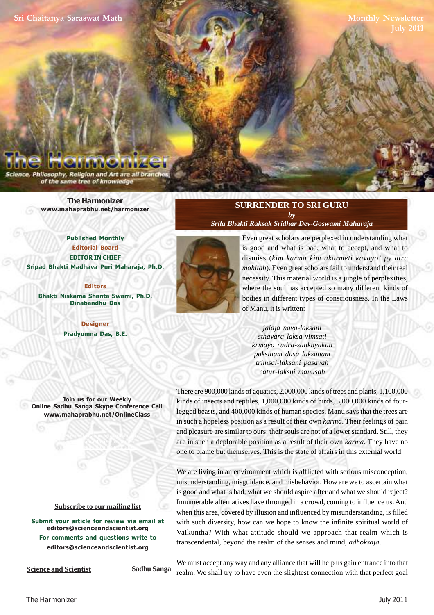**[Sri Chaitanya Saraswat Math](http://mahaprabhu.net/satsanga/harmonizer)**

**Monthly Newsletter July 2011**

Philosophy, Religion and Art are all branc of the same tree of knowledge

> **[The Harmonizer](http://mahaprabhu.net/satsanga/harmonizer) www.mahaprabhu.net/harmonizer**

**Published Monthly Editorial Board EDITOR IN CHIEF [Sripad Bhakti Madhava Puri Maharaja, Ph.D.](http://mahaprabhu.net/sadhusanga/blog1.php/2009/10/01/affectionate-guardians)**

**Editors Bhakti Niskama Shanta Swami, Ph.D. Dinabandhu Das**

> **Designer Pradyumna Das, B.E.**

**Join us for our Weekly Online Sadhu Sanga Skype Conference Call www.mahaprabhu.net/OnlineClass**

> www.mahaprabhu.net/harmonizer www.mahaprabhu.net/harmonizer www.mahaprabhu.net/harmonizer

#### **<u>Subscribe to our mailing list</u>**

**Submit your article for review via email at editors@scienceandscientist.org For comments and questions write to editors@scienceandscientist.org**

**Science and Scientist Sadhu Sanga** 

We must accept any way and any alliance that will help us gain entrance into that realm. We shall try to have even the slightest connection with that perfect goal

## **SURRENDER TO SRI GURU** *by*

*[Srila Bhakti Raksak Sridhar Dev-Goswami Maharaja](http://scsmath.com/docs/sridhar_maharaj.html)*



 . necessity. This material world is a jungle of perplexities, Even great scholars are perplexed in understanding what is good and what is bad, what to accept, and what to dismiss (*kim karma kim akarmeti kavayo' py atra mohitah*). Even great scholars fail to understand their real where the soul has accepted so many different kinds of bodies in different types of consciousness. In the Laws of Manu, it is written:

*jalaja nava-laksani sthavara laksa-vimsati krmayo rudra-sankhyakah paksinam dasa laksanam trimsal-laksani pasavah catur-laksni manusah*

There are 900,000 kinds of aquatics, 2,000,000 kinds of trees and plants, 1,100,000 kinds of insects and reptiles, 1,000,000 kinds of birds, 3,000,000 kinds of fourlegged beasts, and 400,000 kinds of human species. Manu says that the trees are in such a hopeless position as a result of their own *karma*. Their feelings of pain and pleasure are similar to ours; their souls are not of a lower standard. Still, they are in such a deplorable position as a result of their own *karma*. They have no one to blame but themselves. This is the state of affairs in this external world.

We are living in an environment which is afflicted with serious misconception, misunderstanding, misguidance, and misbehavior. How are we to ascertain what is good and what is bad, what we should aspire after and what we should reject? Innumerable alternatives have thronged in a crowd, coming to influence us. And when this area, covered by illusion and influenced by misunderstanding, is filled with such diversity, how can we hope to know the infinite spiritual world of Vaikuntha? With what attitude should we approach that realm which is transcendental, beyond the realm of the senses and mind, *adhoksaja*.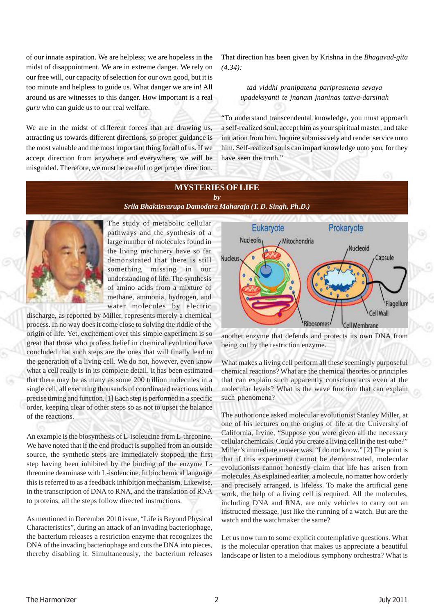of our innate aspiration. We are helpless; we are hopeless in the midst of disappointment. We are in extreme danger. We rely on our free will, our capacity of selection for our own good, but it is too minute and helpless to guide us. What danger we are in! All around us are witnesses to this danger. How important is a real *guru* who can guide us to our real welfare.

We are in the midst of different forces that are drawing us, attracting us towards different directions, so proper guidance is the most valuable and the most important thing for all of us. If we accept direction from anywhere and everywhere, we will be misguided. Therefore, we must be careful to get proper direction.

That direction has been given by Krishna in the *Bhagavad-gita (4.34):*

# *tad viddhi pranipatena pariprasnena sevaya upadeksyanti te jnanam jnaninas tattva-darsinah*

"To understand transcendental knowledge, you must approach a self-realized soul, accept him as your spiritual master, and take initiation from him. Inquire submissively and render service unto him. Self-realized souls can impart knowledge unto you, for they have seen the truth."

# **MYSTERIES OF LIFE** *by*

*[Srila Bhaktisvarupa Damodara Maharaja \(T. D. Singh, Ph.D.\)](http://mahaprabhu.net/sadhusanga/blog1.php/2009/10/01/affectionate-guardians)*



The study of metabolic cellular pathways and the synthesis of a large number of molecules found in the living machinery have so far demonstrated that there is still something missing in our understanding of life. The synthesis of amino acids from a mixture of methane, ammonia, hydrogen, and water molecules by electric

discharge, as reported by Miller, represents merely a chemical process. In no way does it come close to solving the riddle of the origin of life. Yet, excitement over this simple experiment is so great that those who profess belief in chemical evolution have concluded that such steps are the ones that will finally lead to the generation of a living cell. We do not, however, even know what a cell really is in its complete detail. It has been estimated that there may be as many as some 200 trillion molecules in a single cell, all executing thousands of coordinated reactions with precise timing and function.[1] Each step is performed in a specific order, keeping clear of other steps so as not to upset the balance of the reactions.

An example is the biosynthesis of L-isoleucine from L-threonine. We have noted that if the end product is supplied from an outside source, the synthetic steps are immediately stopped, the first step having been inhibited by the binding of the enzyme Lthreonine deaminase with L-isoleucine. In biochemical language this is referred to as a feedback inhibition mechanism. Likewise, in the transcription of DNA to RNA, and the translation of RNA to proteins, all the steps follow directed instructions.

As mentioned in December 2010 issue, "Life is Beyond Physical Characteristics", during an attack of an invading bacteriophage, the bacterium releases a restriction enzyme that recognizes the DNA of the invading bacteriophage and cuts the DNA into pieces, thereby disabling it. Simultaneously, the bacterium releases



another enzyme that defends and protects its own DNA from being cut by the restriction enzyme.

What makes a living cell perform all these seemingly purposeful chemical reactions? What are the chemical theories or principles that can explain such apparently conscious acts even at the molecular levels? What is the wave function that can explain such phenomena?

The author once asked molecular evolutionist Stanley Miller, at one of his lectures on the origins of life at the University of California, Irvine, "Suppose you were given all the necessary cellular chemicals. Could you create a living cell in the test-tube?" Miller's immediate answer was, "I do not know." [2] The point is that if this experiment cannot be demonstrated, molecular evolutionists cannot honestly claim that life has arisen from molecules. As explained earlier, a molecule, no matter how orderly and precisely arranged, is lifeless. To make the artificial gene work, the help of a living cell is required. All the molecules, including DNA and RNA, are only vehicles to carry out an instructed message, just like the running of a watch. But are the watch and the watchmaker the same?

Let us now turn to some explicit contemplative questions. What is the molecular operation that makes us appreciate a beautiful landscape or listen to a melodious symphony orchestra? What is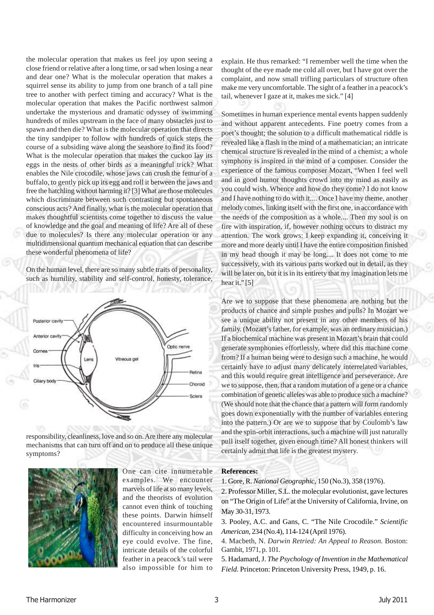the molecular operation that makes us feel joy upon seeing a close friend or relative after a long time, or sad when losing a near and dear one? What is the molecular operation that makes a squirrel sense its ability to jump from one branch of a tall pine tree to another with perfect timing and accuracy? What is the molecular operation that makes the Pacific northwest salmon undertake the mysterious and dramatic odyssey of swimming hundreds of miles upstream in the face of many obstacles just to spawn and then die? What is the molecular operation that directs the tiny sandpiper to follow with hundreds of quick steps the course of a subsiding wave along the seashore to find its food? What is the molecular operation that makes the cuckoo lay its eggs in the nests of other birds as a meaningful trick? What enables the Nile crocodile, whose jaws can crush the femur of a buffalo, to gently pick up its egg and roll it between the jaws and free the hatchling without harming it? [3] What are those molecules which discriminate between such contrasting but spontaneous conscious acts? And finally, what is the molecular operation that makes thoughtful scientists come together to discuss the value of knowledge and the goal and meaning of life? Are all of these due to molecules? Is there any molecular operation or any multidimensional quantum mechanical equation that can describe these wonderful phenomena of life?

On the human level, there are so many subtle traits of personality, such as humility, stability and self-control, honesty, tolerance,



responsibility, cleanliness, love and so on. Are there any molecular mechanisms that can turn off and on to produce all these unique symptoms?



One can cite innumerable examples. We encounter marvels of life at so many levels, and the theorists of evolution cannot even think of touching these points. Darwin himself encountered insurmountable difficulty in conceiving how an eye could evolve. The fine, intricate details of the colorful feather in a peacock's tail were also impossible for him to

explain. He thus remarked: "I remember well the time when the thought of the eye made me cold all over, but I have got over the complaint, and now small trifling particulars of structure often make me very uncomfortable. The sight of a feather in a peacock's tail, whenever I gaze at it, makes me sick." [4]

Sometimes in human experience mental events happen suddenly and without apparent antecedents. Fine poetry comes from a poet's thought; the solution to a difficult mathematical riddle is revealed like a flash in the mind of a mathematician; an intricate chemical structure is revealed in the mind of a chemist; a whole symphony is inspired in the mind of a composer. Consider the experience of the famous composer Mozart, "When I feel well and in good humor thoughts crowd into my mind as easily as you could wish. Whence and how do they come? I do not know and I have nothing to do with it.... Once I have my theme, another melody comes, linking itself with the first one, in accordance with the needs of the composition as a whole.... Then my soul is on fire with inspiration, if, however nothing occurs to distract my attention. The work grows: I keep expanding it, conceiving it more and more dearly until I have the entire composition finished in my head though it may be long.... It does not come to me successively, with its various parts worked out in detail, as they will be later on, but it is in its entirety that my imagination lets me hear it."<sup>[5]</sup>

Are we to suppose that these phenomena are nothing but the products of chance and simple pushes and pulls? In Mozart we see a unique ability not present in any other members of his family. (Mozart's father, for example, was an ordinary musician.) If a biochemical machine was present in Mozart's brain that could generate symphonies effortlessly, where did this machine come from? If a human being were to design such a machine, he would certainly have to adjust many delicately interrelated variables, and this would require great intelligence and perseverance. Are we to suppose, then, that a random mutation of a gene or a chance combination of genetic alleles was able to produce such a machine? (We should note that the chance that a pattern will form randomly goes down exponentially with the number of variables entering into the pattern.) Or are we to suppose that by Coulomb's law and the spin-orbit interactions, such a machine will just naturally pull itself together, given enough time? All honest thinkers will certainly admit that life is the greatest mystery.

#### **References:**

1. Gore, R. *National Geographic,* 150 (No.3), 358 (1976).

2. Professor Miller, S.L. the molecular evolutionist, gave lectures on "The Origin of Life" at the University of California, Irvine, on May 30-31, 1973.

3. Pooley, A.C. and Gans, C. "The Nile Crocodile." *Scientific American,* 234 (No.4), 114-124 (April 1976).

4. Macbeth, N. *Darwin Retried: An Appeal to Reason.* Boston: Gambit, 1971, p. 101.

5. Hadamard, J. *The Psychology of Invention in the Mathematical Field.* Princeton: Princeton University Press, 1949, p. 16.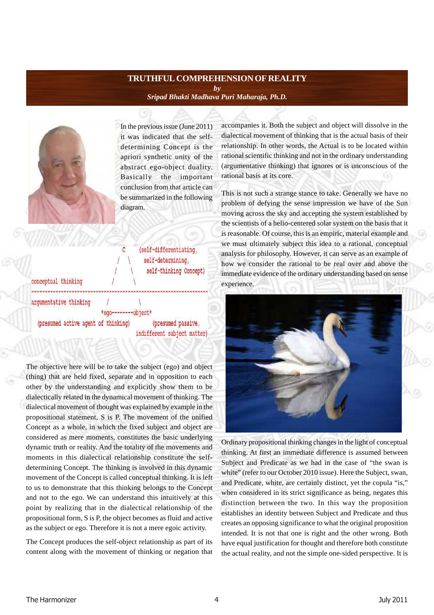# **TRUTHFUL COMPREHENSION OF REALITY** *by [Sripad Bhakti Madhava Puri Maharaja, Ph.D.](http://mahaprabhu.net/sadhusanga/blog1.php/2009/10/01/affectionate-guardians)*



In the previous issue (June 2011) it was indicated that the selfdetermining Concept is the apriori synthetic unity of the abstract ego-object duality. Basically the important conclusion from that article can be summarized in the following diagram.

> (self-differentiating, self-determining, self-thinking Concept)

conceptual thinking arqumentative thinking

\*ego--------object\* (presumed active agent of thinking) (presumed passive, indifferent subject matter)

 $\ddot{c}$ 

The objective here will be to take the subject (ego) and object (thing) that are held fixed, separate and in opposition to each other by the understanding and explicitly show them to be dialectically related in the dynamical movement of thinking. The dialectical movement of thought was explained by example in the propositional statement, S is P. The movement of the unified Concept as a whole, in which the fixed subject and object are considered as mere moments, constitutes the basic underlying dynamic truth or reality. And the totality of the movements and moments in this dialectical relationship constitute the selfdetermining Concept. The thinking is involved in this dynamic movement of the Concept is called conceptual thinking. It is left to us to demonstrate that this thinking belongs to the Concept and not to the ego. We can understand this intuitively at this point by realizing that in the dialectical relationship of the propositional form, S is P, the object becomes as fluid and active as the subject or ego. Therefore it is not a mere egoic activity.

The Concept produces the self-object relationship as part of its content along with the movement of thinking or negation that accompanies it. Both the subject and object will dissolve in the dialectical movement of thinking that is the actual basis of their relationship. In other words, the Actual is to be located within rational scientific thinking and not in the ordinary understanding (argumentative thinking) that ignores or is unconscious of the rational basis at its core.

This is not such a strange stance to take. Generally we have no problem of defying the sense impression we have of the Sun moving across the sky and accepting the system established by the scientists of a helio-centered solar system on the basis that it is reasonable. Of course, this is an empiric, material example and we must ultimately subject this idea to a rational, conceptual analysis for philosophy. However, it can serve as an example of how we consider the rational to be real over and above the immediate evidence of the ordinary understanding based on sense experience.



Ordinary propositional thinking changes in the light of conceptual thinking. At first an immediate difference is assumed between Subject and Predicate as we had in the case of "the swan is white" (refer to our October 2010 issue). Here the Subject, swan, and Predicate, white, are certainly distinct, yet the copula "is," when considered in its strict significance as being, negates this distinction between the two. In this way the proposition establishes an identity between Subject and Predicate and thus creates an opposing significance to what the original proposition intended. It is not that one is right and the other wrong. Both have equal justification for thought and therefore both constitute the actual reality, and not the simple one-sided perspective. It is